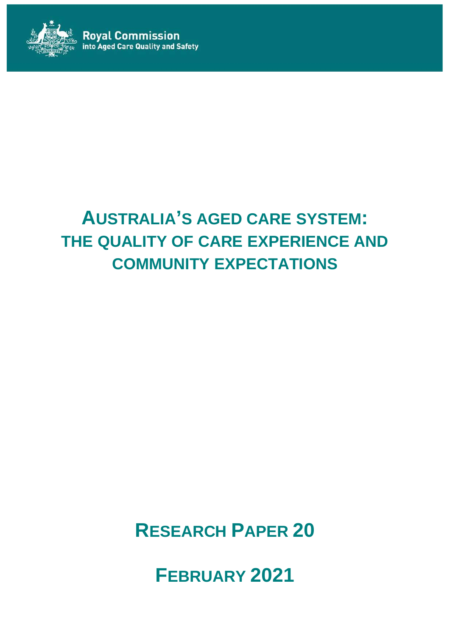

# **AUSTRALIA'S AGED CARE SYSTEM: THE QUALITY OF CARE EXPERIENCE AND COMMUNITY EXPECTATIONS**

**RESEARCH PAPER 20**

**FEBRUARY 2021**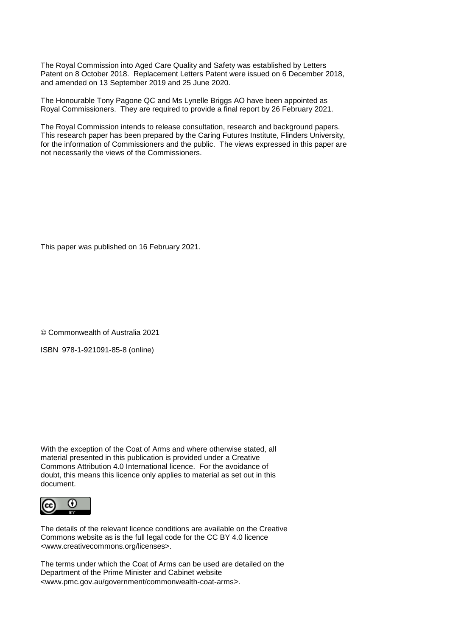The Royal Commission into Aged Care Quality and Safety was established by Letters Patent on 8 October 2018. Replacement Letters Patent were issued on 6 December 2018, and amended on 13 September 2019 and 25 June 2020.

The Honourable Tony Pagone QC and Ms Lynelle Briggs AO have been appointed as Royal Commissioners. They are required to provide a final report by 26 February 2021.

The Royal Commission intends to release consultation, research and background papers. This research paper has been prepared by the Caring Futures Institute, Flinders University, for the information of Commissioners and the public. The views expressed in this paper are not necessarily the views of the Commissioners.

This paper was published on 16 February 2021.

© Commonwealth of Australia 2021

ISBN 978-1-921091-85-8 (online)

With the exception of the Coat of Arms and where otherwise stated, all material presented in this publication is provided under a Creative Commons Attribution 4.0 International licence. For the avoidance of doubt, this means this licence only applies to material as set out in this document.



The details of the relevant licence conditions are available on the Creative Commons website as is the full legal code for the CC BY 4.0 licence [<www.creativecommons.org/licenses>](http://www.creativecommons.org/licenses).

The terms under which the Coat of Arms can be used are detailed on the Department of the Prime Minister and Cabinet website [<www.pmc.gov.au/government/commonwealth-coat-arms>](http://www.pmc.gov.au/government/commonwealthcoatarms).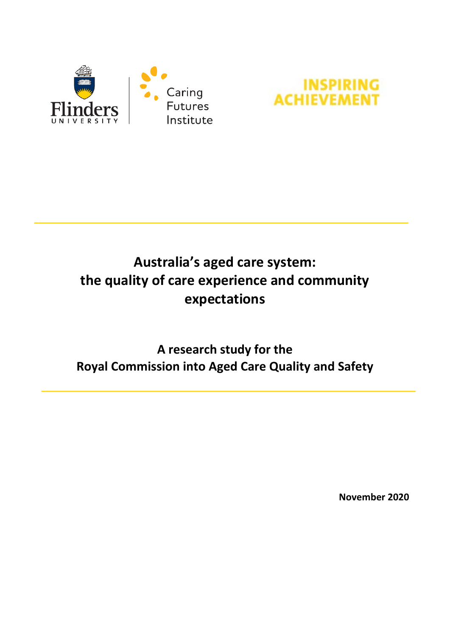



# **Australia's aged care system: the quality of care experience and community expectations**

# **A research study for the Royal Commission into Aged Care Quality and Safety**

**November 2020**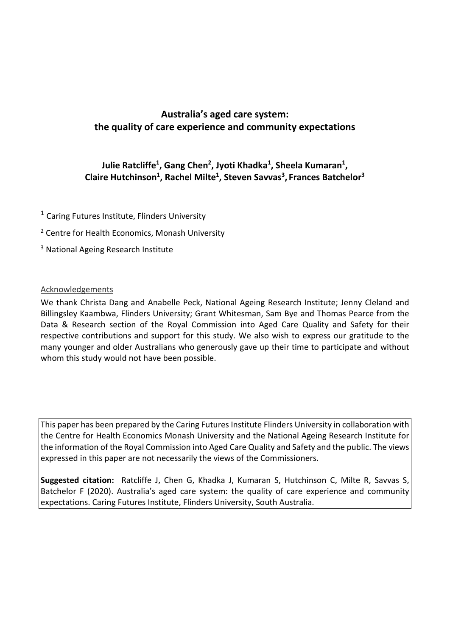# **Australia's aged care system: the quality of care experience and community expectations**

### **Julie Ratcliffe1 , Gang Chen2 , Jyoti Khadka1 , Sheela Kumaran1 , Claire Hutchinson1 , Rachel Milte1 , Steven Savvas3 , Frances Batchelor3**

- <sup>1</sup> Caring Futures Institute, Flinders University
- <sup>2</sup> Centre for Health Economics, Monash University
- <sup>3</sup> National Ageing Research Institute

#### Acknowledgements

We thank Christa Dang and Anabelle Peck, National Ageing Research Institute; Jenny Cleland and Billingsley Kaambwa, Flinders University; Grant Whitesman, Sam Bye and Thomas Pearce from the Data & Research section of the Royal Commission into Aged Care Quality and Safety for their respective contributions and support for this study. We also wish to express our gratitude to the many younger and older Australians who generously gave up their time to participate and without whom this study would not have been possible.

This paper has been prepared by the Caring Futures Institute Flinders University in collaboration with the Centre for Health Economics Monash University and the National Ageing Research Institute for the information of the Royal Commission into Aged Care Quality and Safety and the public. The views expressed in this paper are not necessarily the views of the Commissioners.

**Suggested citation:** Ratcliffe J, Chen G, Khadka J, Kumaran S, Hutchinson C, Milte R, Savvas S, Batchelor F (2020). Australia's aged care system: the quality of care experience and community expectations. Caring Futures Institute, Flinders University, South Australia.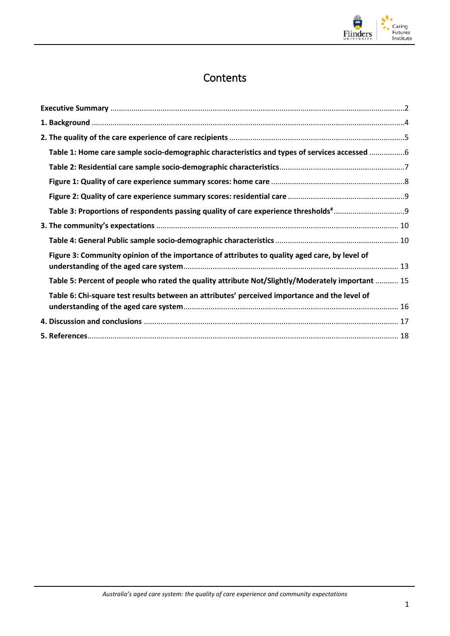

# **Contents**

| Table 1: Home care sample socio-demographic characteristics and types of services accessed 6     |  |
|--------------------------------------------------------------------------------------------------|--|
|                                                                                                  |  |
|                                                                                                  |  |
|                                                                                                  |  |
|                                                                                                  |  |
|                                                                                                  |  |
|                                                                                                  |  |
| Figure 3: Community opinion of the importance of attributes to quality aged care, by level of    |  |
| Table 5: Percent of people who rated the quality attribute Not/Slightly/Moderately important  15 |  |
| Table 6: Chi-square test results between an attributes' perceived importance and the level of    |  |
|                                                                                                  |  |
|                                                                                                  |  |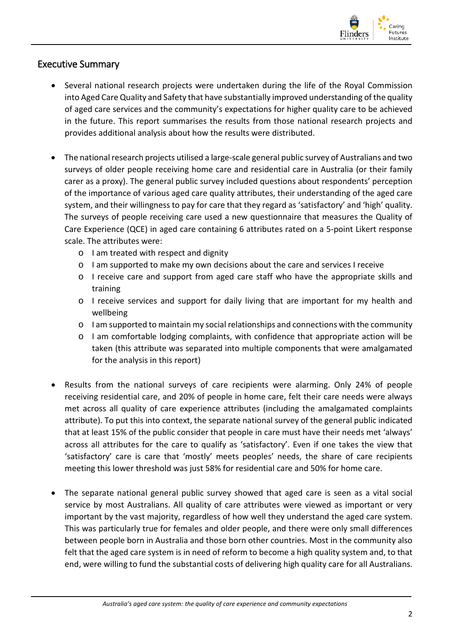

#### <span id="page-5-0"></span>Executive Summary

- Several national research projects were undertaken during the life of the Royal Commission into Aged Care Quality and Safety that have substantially improved understanding of the quality of aged care services and the community's expectations for higher quality care to be achieved in the future. This report summarises the results from those national research projects and provides additional analysis about how the results were distributed.
- The national research projects utilised a large-scale general public survey of Australians and two surveys of older people receiving home care and residential care in Australia (or their family carer as a proxy). The general public survey included questions about respondents' perception of the importance of various aged care quality attributes, their understanding of the aged care system, and their willingness to pay for care that they regard as 'satisfactory' and 'high' quality. The surveys of people receiving care used a new questionnaire that measures the Quality of Care Experience (QCE) in aged care containing 6 attributes rated on a 5-point Likert response scale. The attributes were:
	- o I am treated with respect and dignity
	- o I am supported to make my own decisions about the care and services I receive
	- o I receive care and support from aged care staff who have the appropriate skills and training
	- o I receive services and support for daily living that are important for my health and wellbeing
	- o I am supported to maintain my social relationships and connections with the community
	- o I am comfortable lodging complaints, with confidence that appropriate action will be taken (this attribute was separated into multiple components that were amalgamated for the analysis in this report)
- Results from the national surveys of care recipients were alarming. Only 24% of people receiving residential care, and 20% of people in home care, felt their care needs were always met across all quality of care experience attributes (including the amalgamated complaints attribute). To put this into context, the separate national survey of the general public indicated that at least 15% of the public consider that people in care must have their needs met 'always' across all attributes for the care to qualify as 'satisfactory'. Even if one takes the view that 'satisfactory' care is care that 'mostly' meets peoples' needs, the share of care recipients meeting this lower threshold was just 58% for residential care and 50% for home care.
- The separate national general public survey showed that aged care is seen as a vital social service by most Australians. All quality of care attributes were viewed as important or very important by the vast majority, regardless of how well they understand the aged care system. This was particularly true for females and older people, and there were only small differences between people born in Australia and those born other countries. Most in the community also felt that the aged care system is in need of reform to become a high quality system and, to that end, were willing to fund the substantial costs of delivering high quality care for all Australians.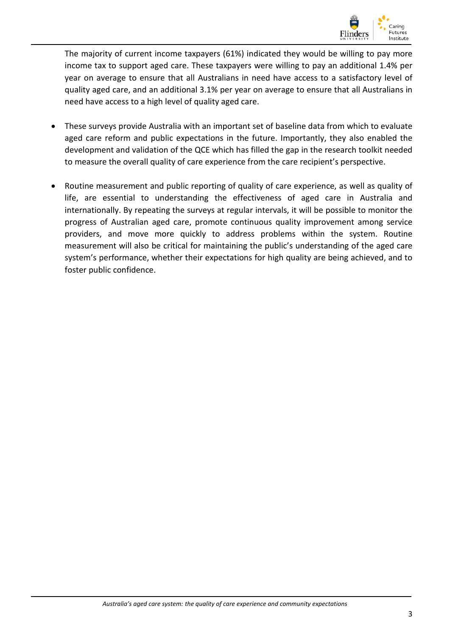

The majority of current income taxpayers (61%) indicated they would be willing to pay more income tax to support aged care. These taxpayers were willing to pay an additional 1.4% per year on average to ensure that all Australians in need have access to a satisfactory level of quality aged care, and an additional 3.1% per year on average to ensure that all Australians in need have access to a high level of quality aged care.

- These surveys provide Australia with an important set of baseline data from which to evaluate aged care reform and public expectations in the future. Importantly, they also enabled the development and validation of the QCE which has filled the gap in the research toolkit needed to measure the overall quality of care experience from the care recipient's perspective.
- Routine measurement and public reporting of quality of care experience, as well as quality of life, are essential to understanding the effectiveness of aged care in Australia and internationally. By repeating the surveys at regular intervals, it will be possible to monitor the progress of Australian aged care, promote continuous quality improvement among service providers, and move more quickly to address problems within the system. Routine measurement will also be critical for maintaining the public's understanding of the aged care system's performance, whether their expectations for high quality are being achieved, and to foster public confidence.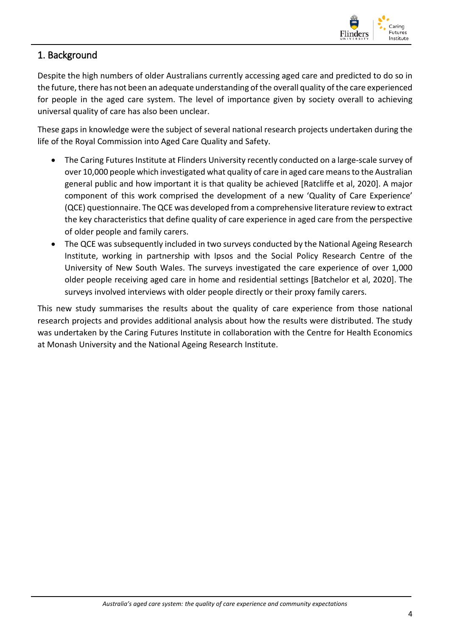

# <span id="page-7-0"></span>1. Background

Despite the high numbers of older Australians currently accessing aged care and predicted to do so in the future, there has not been an adequate understanding of the overall quality of the care experienced for people in the aged care system. The level of importance given by society overall to achieving universal quality of care has also been unclear.

These gaps in knowledge were the subject of several national research projects undertaken during the life of the Royal Commission into Aged Care Quality and Safety.

- The Caring Futures Institute at Flinders University recently conducted on a large-scale survey of over 10,000 people which investigated what quality of care in aged care means to the Australian general public and how important it is that quality be achieved [Ratcliffe et al, 2020]. A major component of this work comprised the development of a new 'Quality of Care Experience' (QCE) questionnaire. The QCE was developed from a comprehensive literature review to extract the key characteristics that define quality of care experience in aged care from the perspective of older people and family carers.
- The QCE was subsequently included in two surveys conducted by the National Ageing Research Institute, working in partnership with Ipsos and the Social Policy Research Centre of the University of New South Wales. The surveys investigated the care experience of over 1,000 older people receiving aged care in home and residential settings [Batchelor et al, 2020]. The surveys involved interviews with older people directly or their proxy family carers.

This new study summarises the results about the quality of care experience from those national research projects and provides additional analysis about how the results were distributed. The study was undertaken by the Caring Futures Institute in collaboration with the Centre for Health Economics at Monash University and the National Ageing Research Institute.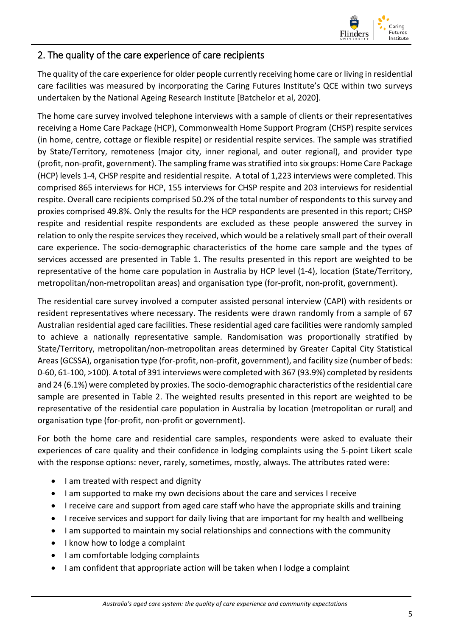

#### <span id="page-8-0"></span>2. The quality of the care experience of care recipients

The quality of the care experience for older people currently receiving home care or living in residential care facilities was measured by incorporating the Caring Futures Institute's QCE within two surveys undertaken by the National Ageing Research Institute [Batchelor et al, 2020].

The home care survey involved telephone interviews with a sample of clients or their representatives receiving a Home Care Package (HCP), Commonwealth Home Support Program (CHSP) respite services (in home, centre, cottage or flexible respite) or residential respite services. The sample was stratified by State/Territory, remoteness (major city, inner regional, and outer regional), and provider type (profit, non-profit, government). The sampling frame was stratified into six groups: Home Care Package (HCP) levels 1-4, CHSP respite and residential respite. A total of 1,223 interviews were completed. This comprised 865 interviews for HCP, 155 interviews for CHSP respite and 203 interviews for residential respite. Overall care recipients comprised 50.2% of the total number of respondents to this survey and proxies comprised 49.8%. Only the results for the HCP respondents are presented in this report; CHSP respite and residential respite respondents are excluded as these people answered the survey in relation to only the respite services they received, which would be a relatively small part of their overall care experience. The socio-demographic characteristics of the home care sample and the types of services accessed are presented in Table 1. The results presented in this report are weighted to be representative of the home care population in Australia by HCP level (1-4), location (State/Territory, metropolitan/non-metropolitan areas) and organisation type (for-profit, non-profit, government).

The residential care survey involved a computer assisted personal interview (CAPI) with residents or resident representatives where necessary. The residents were drawn randomly from a sample of 67 Australian residential aged care facilities. These residential aged care facilities were randomly sampled to achieve a nationally representative sample. Randomisation was proportionally stratified by State/Territory, metropolitan/non-metropolitan areas determined by Greater Capital City Statistical Areas (GCSSA), organisation type (for-profit, non-profit, government), and facility size (number of beds: 0-60, 61-100, >100). A total of 391 interviews were completed with 367 (93.9%) completed by residents and 24 (6.1%) were completed by proxies. The socio-demographic characteristics of the residential care sample are presented in Table 2. The weighted results presented in this report are weighted to be representative of the residential care population in Australia by location (metropolitan or rural) and organisation type (for-profit, non-profit or government).

For both the home care and residential care samples, respondents were asked to evaluate their experiences of care quality and their confidence in lodging complaints using the 5-point Likert scale with the response options: never, rarely, sometimes, mostly, always. The attributes rated were:

- I am treated with respect and dignity
- I am supported to make my own decisions about the care and services I receive
- I receive care and support from aged care staff who have the appropriate skills and training
- I receive services and support for daily living that are important for my health and wellbeing
- I am supported to maintain my social relationships and connections with the community
- I know how to lodge a complaint
- I am comfortable lodging complaints
- I am confident that appropriate action will be taken when I lodge a complaint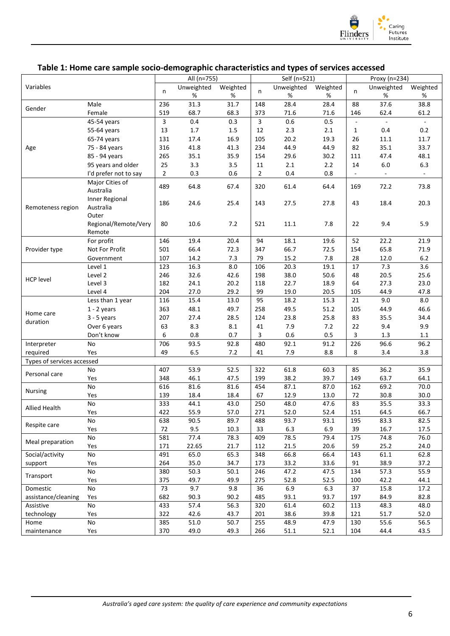

#### <span id="page-9-0"></span>**Table 1: Home care sample socio-demographic characteristics and types of services accessed**

|                            |                       | All (n=755)    |            |          |                | Self (n=521) |          |                          | Proxy (n=234)  |                          |  |
|----------------------------|-----------------------|----------------|------------|----------|----------------|--------------|----------|--------------------------|----------------|--------------------------|--|
| Variables                  |                       |                | Unweighted | Weighted |                | Unweighted   | Weighted |                          | Unweighted     | Weighted                 |  |
|                            |                       | n              | %          | %        | n              | %            | %        | n                        | %              | $\%$                     |  |
| Gender                     | Male                  | 236            | 31.3       | 31.7     | 148            | 28.4         | 28.4     | 88                       | 37.6           | 38.8                     |  |
|                            | Female                | 519            | 68.7       | 68.3     | 373            | 71.6         | 71.6     | 146                      | 62.4           | 61.2                     |  |
|                            | 45-54 years           | 3              | 0.4        | 0.3      | 3              | 0.6          | 0.5      | $\overline{\phantom{a}}$ | $\blacksquare$ | $\omega$                 |  |
|                            | 55-64 years           | 13             | $1.7\,$    | 1.5      | 12             | 2.3          | 2.1      | $\mathbf{1}$             | 0.4            | 0.2                      |  |
|                            | 65-74 years           | 131            | 17.4       | 16.9     | 105            | 20.2         | 19.3     | 26                       | 11.1           | 11.7                     |  |
| Age                        | 75 - 84 years         | 316            | 41.8       | 41.3     | 234            | 44.9         | 44.9     | 82                       | 35.1           | 33.7                     |  |
|                            | 85 - 94 years         | 265            | 35.1       | 35.9     | 154            | 29.6         | 30.2     | 111                      | 47.4           | 48.1                     |  |
|                            | 95 years and older    | 25             | 3.3        | 3.5      | 11             | $2.1$        | 2.2      | 14                       | $6.0$          | 6.3                      |  |
|                            | I'd prefer not to say | $\overline{2}$ | 0.3        | 0.6      | $\overline{2}$ | $0.4\,$      | 0.8      | $\blacksquare$           | $\sim$         | $\overline{\phantom{a}}$ |  |
|                            | Major Cities of       |                |            |          |                |              |          |                          |                |                          |  |
|                            | Australia             | 489            | 64.8       | 67.4     | 320            | 61.4         | 64.4     | 169                      | 72.2           | 73.8                     |  |
|                            | Inner Regional        | 186            | 24.6       | 25.4     | 143            | 27.5         | 27.8     | 43                       | 18.4           | 20.3                     |  |
| Remoteness region          | Australia             |                |            |          |                |              |          |                          |                |                          |  |
|                            | Outer                 |                |            |          |                |              |          |                          |                |                          |  |
|                            | Regional/Remote/Very  | 80             | 10.6       | 7.2      | 521            | 11.1         | 7.8      | 22                       | 9.4            | 5.9                      |  |
|                            | Remote                |                |            |          |                |              |          |                          |                |                          |  |
|                            | For profit            | 146            | 19.4       | 20.4     | 94             | 18.1         | 19.6     | 52                       | 22.2           | 21.9                     |  |
| Provider type              | Not For Profit        | 501            | 66.4       | 72.3     | 347            | 66.7         | 72.5     | 154                      | 65.8           | 71.9                     |  |
|                            | Government            | 107            | 14.2       | 7.3      | 79             | 15.2         | 7.8      | 28                       | 12.0           | $6.2$                    |  |
|                            | Level 1               | 123            | 16.3       | 8.0      | 106            | 20.3         | 19.1     | 17                       | 7.3            | $\overline{3.6}$         |  |
| <b>HCP level</b>           | Level 2               | 246            | 32.6       | 42.6     | 198            | 38.0         | 50.6     | 48                       | 20.5           | 25.6                     |  |
|                            | Level 3               | 182            | 24.1       | 20.2     | 118            | 22.7         | 18.9     | 64                       | 27.3           | 23.0                     |  |
|                            | Level 4               | 204            | 27.0       | 29.2     | 99             | 19.0         | 20.5     | 105                      | 44.9           | 47.8                     |  |
|                            | Less than 1 year      | 116            | 15.4       | 13.0     | 95             | 18.2         | 15.3     | 21                       | 9.0            | 8.0                      |  |
| Home care                  | $1 - 2$ years         | 363            | 48.1       | 49.7     | 258            | 49.5         | 51.2     | 105                      | 44.9           | 46.6                     |  |
| duration                   | $3 - 5$ years         | 207            | 27.4       | 28.5     | 124            | 23.8         | 25.8     | 83                       | 35.5           | 34.4                     |  |
|                            | Over 6 years          | 63             | 8.3        | $8.1\,$  | 41             | 7.9          | 7.2      | 22                       | 9.4            | 9.9                      |  |
|                            | Don't know            | 6              | 0.8        | 0.7      | 3              | 0.6          | 0.5      | 3                        | 1.3            | $1.1\,$                  |  |
| Interpreter                | No                    | 706            | 93.5       | 92.8     | 480            | 92.1         | 91.2     | 226                      | 96.6           | 96.2                     |  |
| required                   | Yes                   | 49             | 6.5        | 7.2      | 41             | 7.9          | 8.8      | 8                        | 3.4            | 3.8                      |  |
| Types of services accessed |                       |                |            |          |                |              |          |                          |                |                          |  |
| Personal care              | No                    | 407            | 53.9       | 52.5     | 322            | 61.8         | 60.3     | 85                       | 36.2           | 35.9                     |  |
|                            | Yes                   | 348            | 46.1       | 47.5     | 199            | 38.2         | 39.7     | 149                      | 63.7           | 64.1                     |  |
| <b>Nursing</b>             | No                    | 616            | 81.6       | 81.6     | 454            | 87.1         | 87.0     | 162                      | 69.2           | 70.0                     |  |
|                            | Yes                   | 139            | 18.4       | 18.4     | 67             | 12.9         | 13.0     | 72                       | 30.8           | 30.0                     |  |
| <b>Allied Health</b>       | No                    | 333            | 44.1       | 43.0     | 250            | 48.0         | 47.6     | 83                       | 35.5           | 33.3                     |  |
|                            | Yes                   | 422            | 55.9       | 57.0     | 271            | 52.0         | 52.4     | 151                      | 64.5           | 66.7                     |  |
| Respite care               | No                    | 638            | 90.5       | 89.7     | 488            | 93.7         | 93.1     | 195                      | 83.3           | 82.5                     |  |
|                            | Yes                   | 72             | 9.5        | 10.3     | 33             | 6.3          | 6.9      | 39                       | 16.7           | 17.5                     |  |
| Meal preparation           | No                    | 581            | 77.4       | 78.3     | 409            | 78.5         | 79.4     | 175                      | 74.8           | 76.0                     |  |
|                            | Yes                   | 171            | 22.65      | 21.7     | 112            | 21.5         | 20.6     | 59                       | 25.2           | 24.0                     |  |
| Social/activity            | No                    | 491            | 65.0       | 65.3     | 348            | 66.8         | 66.4     | 143                      | $61.1\,$       | 62.8                     |  |
| support                    | Yes                   | 264            | 35.0       | 34.7     | 173            | 33.2         | 33.6     | 91                       | 38.9           | 37.2                     |  |
| Transport                  | No                    | 380            | 50.3       | 50.1     | 246            | 47.2         | 47.5     | 134                      | 57.3           | 55.9                     |  |
|                            | Yes                   | 375            | 49.7       | 49.9     | 275            | 52.8         | 52.5     | 100                      | 42.2           | 44.1                     |  |
| Domestic                   | No                    | 73             | 9.7        | 9.8      | 36             | 6.9          | 6.3      | 37                       | 15.8           | 17.2                     |  |
| assistance/cleaning        | Yes                   | 682            | 90.3       | 90.2     | 485            | 93.1         | 93.7     | 197                      | 84.9           | 82.8                     |  |
| Assistive                  | No                    | 433            | 57.4       | 56.3     | 320            | 61.4         | 60.2     | 113                      | 48.3           | 48.0                     |  |
| technology                 | Yes                   | 322            | 42.6       | 43.7     | 201            | 38.6         | 39.8     | 121                      | 51.7           | 52.0                     |  |
| Home                       | No                    | 385            | $51.0\,$   | 50.7     | 255            | 48.9         | 47.9     | 130                      | 55.6           | 56.5                     |  |
| maintenance                | Yes                   | 370            | 49.0       | 49.3     | 266            | 51.1         | 52.1     | 104                      | 44.4           | 43.5                     |  |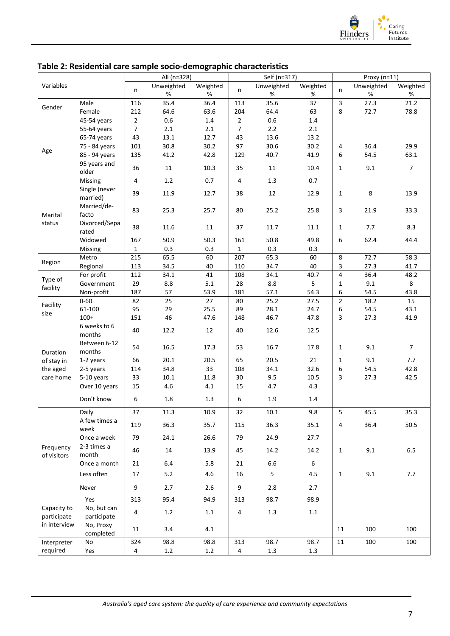

|              |                |                         | All (n=328) |          |                | Self (n=317) |          |                | Proxy (n=11) |                |
|--------------|----------------|-------------------------|-------------|----------|----------------|--------------|----------|----------------|--------------|----------------|
| Variables    |                |                         | Unweighted  | Weighted |                | Unweighted   | Weighted |                | Unweighted   | Weighted       |
|              |                | n                       | %           | %        | n              | %            | %        | n              | %            | %              |
|              | Male           | 116                     | 35.4        | 36.4     | 113            | 35.6         | 37       | $\mathbf{3}$   | 27.3         | 21.2           |
| Gender       | Female         | 212                     | 64.6        | 63.6     | 204            | 64.4         | 63       | 8              | 72.7         | 78.8           |
|              | 45-54 years    | $\overline{2}$          | 0.6         | $1.4\,$  | $\overline{2}$ | 0.6          | $1.4\,$  |                |              |                |
|              | 55-64 years    | $\overline{7}$          | $2.1\,$     | 2.1      | $\overline{7}$ | 2.2          | 2.1      |                |              |                |
|              | 65-74 years    | 43                      | 13.1        | 12.7     | 43             | 13.6         | 13.2     |                |              |                |
|              | 75 - 84 years  | 101                     | 30.8        | 30.2     | 97             | 30.6         | 30.2     | $\overline{4}$ | 36.4         | 29.9           |
| Age          | 85 - 94 years  | 135                     | 41.2        | 42.8     | 129            | 40.7         | 41.9     | 6              | 54.5         | 63.1           |
|              | 95 years and   |                         |             |          |                |              |          |                |              |                |
|              | older          | 36                      | $11\,$      | 10.3     | 35             | 11           | 10.4     | $\mathbf 1$    | 9.1          | $\overline{7}$ |
|              | <b>Missing</b> | $\overline{\mathbf{4}}$ | $1.2\,$     | 0.7      | 4              | 1.3          | 0.7      |                |              |                |
|              | Single (never  |                         |             |          |                |              |          |                |              |                |
|              | married)       | 39                      | 11.9        | 12.7     | 38             | 12           | 12.9     | $\mathbf{1}$   | 8            | 13.9           |
|              | Married/de-    |                         |             |          |                |              |          |                |              |                |
| Marital      | facto          | 83                      | 25.3        | 25.7     | 80             | 25.2         | 25.8     | 3              | 21.9         | 33.3           |
| status       | Divorced/Sepa  |                         |             |          |                |              |          |                |              |                |
|              | rated          | 38                      | 11.6        | 11       | 37             | 11.7         | 11.1     | $\mathbf{1}$   | 7.7          | 8.3            |
|              | Widowed        | 167                     | 50.9        | 50.3     | 161            | 50.8         | 49.8     | 6              | 62.4         | 44.4           |
|              | Missing        | $\mathbf{1}$            | 0.3         | 0.3      | $\mathbf{1}$   | 0.3          | 0.3      |                |              |                |
|              | Metro          | 215                     | 65.5        | 60       | 207            | 65.3         | 60       | $\,8\,$        | 72.7         | 58.3           |
| Region       | Regional       | 113                     | 34.5        | 40       | 110            | 34.7         | 40       | 3              | 27.3         | 41.7           |
|              | For profit     | 112                     | 34.1        | 41       | 108            | 34.1         | 40.7     | $\overline{4}$ | 36.4         | 48.2           |
| Type of      | Government     | 29                      | $8.8\,$     | 5.1      | 28             | 8.8          | 5        | 1              | 9.1          | 8              |
| facility     | Non-profit     | 187                     | 57          | 53.9     | 181            | 57.1         | 54.3     | 6              | 54.5         | 43.8           |
|              | $0 - 60$       | 82                      | 25          | 27       | 80             | 25.2         | 27.5     | $\sqrt{2}$     | 18.2         | 15             |
| Facility     | 61-100         | 95                      | 29          | 25.5     | 89             | 28.1         | 24.7     | 6              | 54.5         | 43.1           |
| size         | $100+$         | 151                     | 46          | 47.6     | 148            | 46.7         | 47.8     | 3              | 27.3         | 41.9           |
|              | 6 weeks to 6   |                         |             |          |                |              |          |                |              |                |
|              | months         | 40                      | 12.2        | 12       | 40             | 12.6         | 12.5     |                |              |                |
|              | Between 6-12   |                         |             |          |                |              |          |                |              |                |
| Duration     | months         | 54                      | 16.5        | 17.3     | 53             | 16.7         | 17.8     | $\mathbf{1}$   | 9.1          | $\overline{7}$ |
| of stay in   | 1-2 years      | 66                      | 20.1        | 20.5     | 65             | 20.5         | 21       | 1              | 9.1          | 7.7            |
| the aged     | 2-5 years      | 114                     | 34.8        | 33       | 108            | 34.1         | 32.6     | 6              | 54.5         | 42.8           |
| care home    | 5-10 years     | 33                      | $10.1\,$    | 11.8     | 30             | 9.5          | 10.5     | 3              | 27.3         | 42.5           |
|              | Over 10 years  | 15                      | $4.6\,$     | 4.1      | 15             | 4.7          | 4.3      |                |              |                |
|              |                |                         |             |          |                |              |          |                |              |                |
|              | Don't know     | 6                       | $1.8\,$     | 1.3      | 6              | 1.9          | 1.4      |                |              |                |
|              | Daily          | 37                      | 11.3        | 10.9     | 32             | 10.1         | 9.8      | 5              | 45.5         | 35.3           |
|              | A few times a  |                         |             |          |                |              |          |                |              |                |
|              | week           | 119                     | 36.3        | 35.7     | 115            | 36.3         | 35.1     | 4              | 36.4         | 50.5           |
|              | Once a week    | 79                      | 24.1        | 26.6     | 79             | 24.9         | 27.7     |                |              |                |
| Frequency    | 2-3 times a    |                         |             |          |                |              |          |                |              |                |
| of visitors  | month          | 46                      | 14          | 13.9     | 45             | 14.2         | 14.2     | $\mathbf{1}$   | 9.1          | 6.5            |
|              | Once a month   | 21                      | 6.4         | 5.8      | 21             | 6.6          | 6        |                |              |                |
|              | Less often     | 17                      | 5.2         | 4.6      | 16             | 5            | 4.5      | $\mathbf{1}$   | 9.1          | 7.7            |
|              |                |                         |             |          |                |              |          |                |              |                |
|              | Never          | 9                       | 2.7         | 2.6      | 9              | 2.8          | 2.7      |                |              |                |
|              | Yes            | 313                     | 95.4        | 94.9     | 313            | 98.7         | 98.9     |                |              |                |
| Capacity to  | No, but can    |                         |             |          |                |              |          |                |              |                |
| participate  | participate    | 4                       | $1.2\,$     | $1.1\,$  | 4              | $1.3\,$      | $1.1\,$  |                |              |                |
| in interview | No, Proxy      |                         |             |          |                |              |          |                |              |                |
|              | completed      | 11                      | 3.4         | 4.1      |                |              |          | 11             | 100          | 100            |
| Interpreter  | No             | 324                     | 98.8        | 98.8     | 313            | 98.7         | 98.7     | 11             | 100          | 100            |
| required     | Yes            | 4                       | $1.2\,$     | 1.2      | 4              | $1.3\,$      | 1.3      |                |              |                |
|              |                |                         |             |          |                |              |          |                |              |                |

#### <span id="page-10-0"></span>**Table 2: Residential care sample socio-demographic characteristics**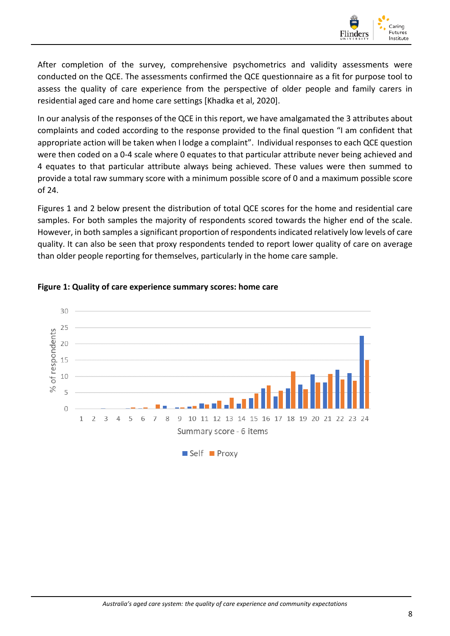

After completion of the survey, comprehensive psychometrics and validity assessments were conducted on the QCE. The assessments confirmed the QCE questionnaire as a fit for purpose tool to assess the quality of care experience from the perspective of older people and family carers in residential aged care and home care settings [Khadka et al, 2020].

In our analysis of the responses of the QCE in this report, we have amalgamated the 3 attributes about complaints and coded according to the response provided to the final question "I am confident that appropriate action will be taken when I lodge a complaint". Individual responses to each QCE question were then coded on a 0-4 scale where 0 equates to that particular attribute never being achieved and 4 equates to that particular attribute always being achieved. These values were then summed to provide a total raw summary score with a minimum possible score of 0 and a maximum possible score of 24.

Figures 1 and 2 below present the distribution of total QCE scores for the home and residential care samples. For both samples the majority of respondents scored towards the higher end of the scale. However, in both samples a significant proportion of respondents indicated relatively low levels of care quality. It can also be seen that proxy respondents tended to report lower quality of care on average than older people reporting for themselves, particularly in the home care sample.



#### <span id="page-11-0"></span>**Figure 1: Quality of care experience summary scores: home care**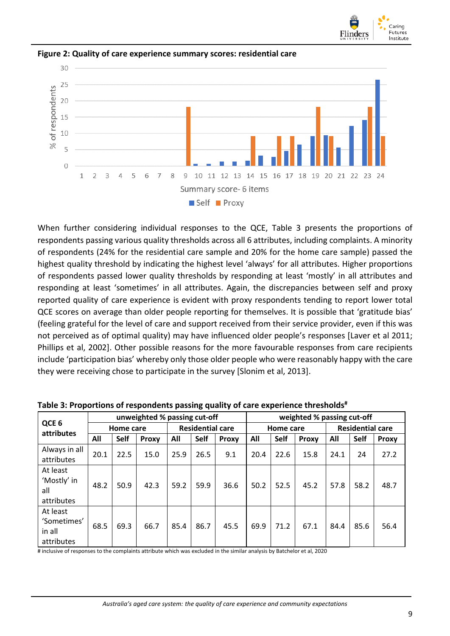



<span id="page-12-0"></span>**Figure 2: Quality of care experience summary scores: residential care**

When further considering individual responses to the QCE, Table 3 presents the proportions of respondents passing various quality thresholds across all 6 attributes, including complaints. A minority of respondents (24% for the residential care sample and 20% for the home care sample) passed the highest quality threshold by indicating the highest level 'always' for all attributes. Higher proportions of respondents passed lower quality thresholds by responding at least 'mostly' in all attributes and responding at least 'sometimes' in all attributes. Again, the discrepancies between self and proxy reported quality of care experience is evident with proxy respondents tending to report lower total QCE scores on average than older people reporting for themselves. It is possible that 'gratitude bias' (feeling grateful for the level of care and support received from their service provider, even if this was not perceived as of optimal quality) may have influenced older people's responses [Laver et al 2011; Phillips et al, 2002]. Other possible reasons for the more favourable responses from care recipients include 'participation bias' whereby only those older people who were reasonably happy with the care they were receiving chose to participate in the survey [Slonim et al, 2013].

|                                                 | unweighted % passing cut-off |      |              |                         |      |              | weighted % passing cut-off |      |       |                         |      |              |
|-------------------------------------------------|------------------------------|------|--------------|-------------------------|------|--------------|----------------------------|------|-------|-------------------------|------|--------------|
| QCE <sub>6</sub><br>attributes                  | Home care                    |      |              | <b>Residential care</b> |      |              | Home care                  |      |       | <b>Residential care</b> |      |              |
|                                                 | All                          | Self | <b>Proxy</b> | All                     | Self | <b>Proxy</b> | All                        | Self | Proxy | All                     | Self | <b>Proxy</b> |
| Always in all<br>attributes                     | 20.1                         | 22.5 | 15.0         | 25.9                    | 26.5 | 9.1          | 20.4                       | 22.6 | 15.8  | 24.1                    | 24   | 27.2         |
| At least<br>'Mostly' in<br>all<br>attributes    | 48.2                         | 50.9 | 42.3         | 59.2                    | 59.9 | 36.6         | 50.2                       | 52.5 | 45.2  | 57.8                    | 58.2 | 48.7         |
| At least<br>'Sometimes'<br>in all<br>attributes | 68.5                         | 69.3 | 66.7         | 85.4                    | 86.7 | 45.5         | 69.9                       | 71.2 | 67.1  | 84.4                    | 85.6 | 56.4         |

<span id="page-12-1"></span>**Table 3: Proportions of respondents passing quality of care experience thresholds#**

# inclusive of responses to the complaints attribute which was excluded in the similar analysis by Batchelor et al, 2020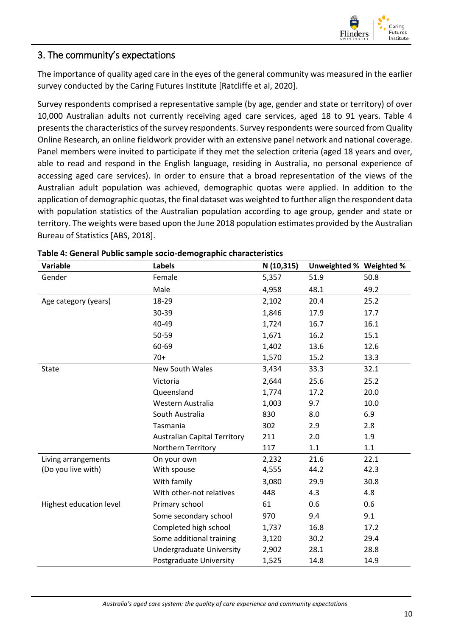

#### <span id="page-13-0"></span>3. The community's expectations

The importance of quality aged care in the eyes of the general community was measured in the earlier survey conducted by the Caring Futures Institute [Ratcliffe et al, 2020].

Survey respondents comprised a representative sample (by age, gender and state or territory) of over 10,000 Australian adults not currently receiving aged care services, aged 18 to 91 years. Table 4 presents the characteristics of the survey respondents. Survey respondents were sourced from Quality Online Research, an online fieldwork provider with an extensive panel network and national coverage. Panel members were invited to participate if they met the selection criteria (aged 18 years and over, able to read and respond in the English language, residing in Australia, no personal experience of accessing aged care services). In order to ensure that a broad representation of the views of the Australian adult population was achieved, demographic quotas were applied. In addition to the application of demographic quotas, the final dataset was weighted to further align the respondent data with population statistics of the Australian population according to age group, gender and state or territory. The weights were based upon the June 2018 population estimates provided by the Australian Bureau of Statistics [ABS, 2018].

| Variable                | <b>Labels</b>                       | N (10,315) | Unweighted % Weighted % |      |
|-------------------------|-------------------------------------|------------|-------------------------|------|
| Gender                  | Female                              | 5,357      | 51.9                    | 50.8 |
|                         | Male                                | 4,958      | 48.1                    | 49.2 |
| Age category (years)    | 18-29                               | 2,102      | 20.4                    | 25.2 |
|                         | 30-39                               | 1,846      | 17.9                    | 17.7 |
|                         | 40-49                               | 1,724      | 16.7                    | 16.1 |
|                         | 50-59                               | 1,671      | 16.2                    | 15.1 |
|                         | 60-69                               | 1,402      | 13.6                    | 12.6 |
|                         | $70+$                               | 1,570      | 15.2                    | 13.3 |
| <b>State</b>            | New South Wales                     | 3,434      | 33.3                    | 32.1 |
|                         | Victoria                            | 2,644      | 25.6                    | 25.2 |
|                         | Queensland                          | 1,774      | 17.2                    | 20.0 |
|                         | Western Australia                   | 1,003      | 9.7                     | 10.0 |
|                         | South Australia                     | 830        | 8.0                     | 6.9  |
|                         | Tasmania                            | 302        | 2.9                     | 2.8  |
|                         | <b>Australian Capital Territory</b> | 211        | 2.0                     | 1.9  |
|                         | Northern Territory                  | 117        | 1.1                     | 1.1  |
| Living arrangements     | On your own                         | 2,232      | 21.6                    | 22.1 |
| (Do you live with)      | With spouse                         | 4,555      | 44.2                    | 42.3 |
|                         | With family                         | 3,080      | 29.9                    | 30.8 |
|                         | With other-not relatives            | 448        | 4.3                     | 4.8  |
| Highest education level | Primary school                      | 61         | 0.6                     | 0.6  |
|                         | Some secondary school               | 970        | 9.4                     | 9.1  |
|                         | Completed high school               | 1,737      | 16.8                    | 17.2 |
|                         | Some additional training            | 3,120      | 30.2                    | 29.4 |
|                         | <b>Undergraduate University</b>     | 2,902      | 28.1                    | 28.8 |
|                         | Postgraduate University             | 1,525      | 14.8                    | 14.9 |

<span id="page-13-1"></span>

|  |  |  | Table 4: General Public sample socio-demographic characteristics |  |
|--|--|--|------------------------------------------------------------------|--|
|--|--|--|------------------------------------------------------------------|--|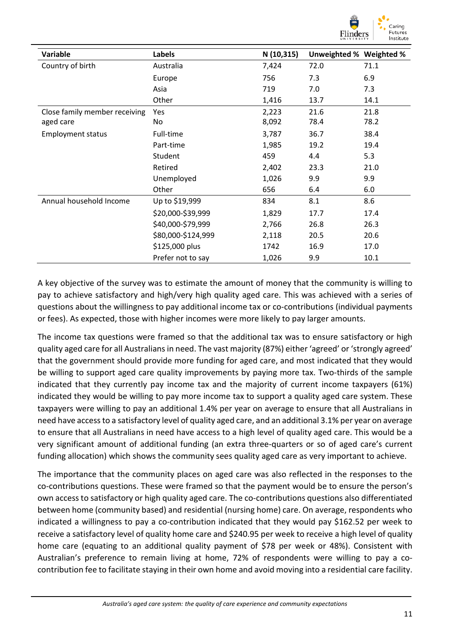

| Variable                      | Labels             | N (10,315) | Unweighted % Weighted % |      |
|-------------------------------|--------------------|------------|-------------------------|------|
| Country of birth              | Australia          | 7,424      | 72.0                    | 71.1 |
|                               | Europe             | 756        | 7.3                     | 6.9  |
|                               | Asia               | 719        | 7.0                     | 7.3  |
|                               | Other              | 1,416      | 13.7                    | 14.1 |
| Close family member receiving | Yes                | 2,223      | 21.6                    | 21.8 |
| aged care                     | No                 | 8,092      | 78.4                    | 78.2 |
| <b>Employment status</b>      | Full-time          | 3,787      | 36.7                    | 38.4 |
|                               | Part-time          | 1,985      | 19.2                    | 19.4 |
|                               | Student            | 459        | 4.4                     | 5.3  |
|                               | Retired            | 2,402      | 23.3                    | 21.0 |
|                               | Unemployed         | 1,026      | 9.9                     | 9.9  |
|                               | Other              | 656        | 6.4                     | 6.0  |
| Annual household Income       | Up to \$19,999     | 834        | 8.1                     | 8.6  |
|                               | \$20,000-\$39,999  | 1,829      | 17.7                    | 17.4 |
|                               | \$40,000-\$79,999  | 2,766      | 26.8                    | 26.3 |
|                               | \$80,000-\$124,999 | 2,118      | 20.5                    | 20.6 |
|                               | \$125,000 plus     | 1742       | 16.9                    | 17.0 |
|                               | Prefer not to say  | 1,026      | 9.9                     | 10.1 |

A key objective of the survey was to estimate the amount of money that the community is willing to pay to achieve satisfactory and high/very high quality aged care. This was achieved with a series of questions about the willingness to pay additional income tax or co-contributions (individual payments or fees). As expected, those with higher incomes were more likely to pay larger amounts.

The income tax questions were framed so that the additional tax was to ensure satisfactory or high quality aged care for all Australians in need. The vast majority (87%) either 'agreed' or 'strongly agreed' that the government should provide more funding for aged care, and most indicated that they would be willing to support aged care quality improvements by paying more tax. Two-thirds of the sample indicated that they currently pay income tax and the majority of current income taxpayers (61%) indicated they would be willing to pay more income tax to support a quality aged care system. These taxpayers were willing to pay an additional 1.4% per year on average to ensure that all Australians in need have access to a satisfactory level of quality aged care, and an additional 3.1% per year on average to ensure that all Australians in need have access to a high level of quality aged care. This would be a very significant amount of additional funding (an extra three-quarters or so of aged care's current funding allocation) which shows the community sees quality aged care as very important to achieve.

The importance that the community places on aged care was also reflected in the responses to the co-contributions questions. These were framed so that the payment would be to ensure the person's own access to satisfactory or high quality aged care. The co-contributions questions also differentiated between home (community based) and residential (nursing home) care. On average, respondents who indicated a willingness to pay a co-contribution indicated that they would pay \$162.52 per week to receive a satisfactory level of quality home care and \$240.95 per week to receive a high level of quality home care (equating to an additional quality payment of \$78 per week or 48%). Consistent with Australian's preference to remain living at home, 72% of respondents were willing to pay a cocontribution fee to facilitate staying in their own home and avoid moving into a residential care facility.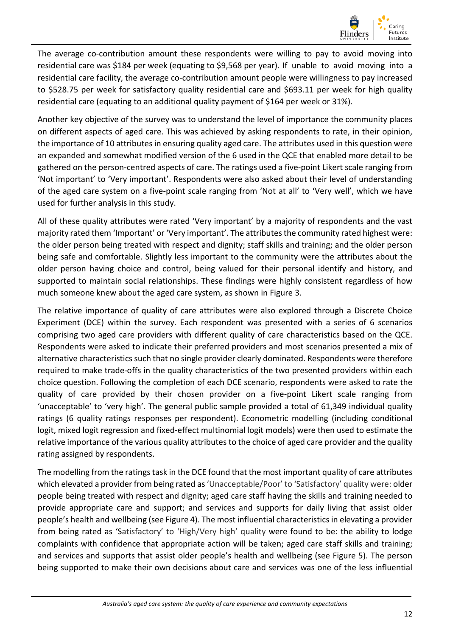

The average co-contribution amount these respondents were willing to pay to avoid moving into residential care was \$184 per week (equating to \$9,568 per year). If unable to avoid moving into a residential care facility, the average co-contribution amount people were willingness to pay increased to \$528.75 per week for satisfactory quality residential care and \$693.11 per week for high quality residential care (equating to an additional quality payment of \$164 per week or 31%).

Another key objective of the survey was to understand the level of importance the community places on different aspects of aged care. This was achieved by asking respondents to rate, in their opinion, the importance of 10 attributes in ensuring quality aged care. The attributes used in this question were an expanded and somewhat modified version of the 6 used in the QCE that enabled more detail to be gathered on the person-centred aspects of care. The ratings used a five-point Likert scale ranging from 'Not important' to 'Very important'. Respondents were also asked about their level of understanding of the aged care system on a five-point scale ranging from 'Not at all' to 'Very well', which we have used for further analysis in this study.

All of these quality attributes were rated 'Very important' by a majority of respondents and the vast majority rated them 'Important' or 'Very important'. The attributes the community rated highest were: the older person being treated with respect and dignity; staff skills and training; and the older person being safe and comfortable. Slightly less important to the community were the attributes about the older person having choice and control, being valued for their personal identify and history, and supported to maintain social relationships. These findings were highly consistent regardless of how much someone knew about the aged care system, as shown in Figure 3.

The relative importance of quality of care attributes were also explored through a Discrete Choice Experiment (DCE) within the survey. Each respondent was presented with a series of 6 scenarios comprising two aged care providers with different quality of care characteristics based on the QCE. Respondents were asked to indicate their preferred providers and most scenarios presented a mix of alternative characteristics such that no single provider clearly dominated. Respondents were therefore required to make trade-offs in the quality characteristics of the two presented providers within each choice question. Following the completion of each DCE scenario, respondents were asked to rate the quality of care provided by their chosen provider on a five-point Likert scale ranging from 'unacceptable' to 'very high'. The general public sample provided a total of 61,349 individual quality ratings (6 quality ratings responses per respondent). Econometric modelling (including conditional logit, mixed logit regression and fixed-effect multinomial logit models) were then used to estimate the relative importance of the various quality attributes to the choice of aged care provider and the quality rating assigned by respondents.

The modelling from the ratings task in the DCE found that the most important quality of care attributes which elevated a provider from being rated as 'Unacceptable/Poor' to 'Satisfactory' quality were: older people being treated with respect and dignity; aged care staff having the skills and training needed to provide appropriate care and support; and services and supports for daily living that assist older people's health and wellbeing (see Figure 4). The most influential characteristics in elevating a provider from being rated as 'Satisfactory' to 'High/Very high' quality were found to be: the ability to lodge complaints with confidence that appropriate action will be taken; aged care staff skills and training; and services and supports that assist older people's health and wellbeing (see Figure 5). The person being supported to make their own decisions about care and services was one of the less influential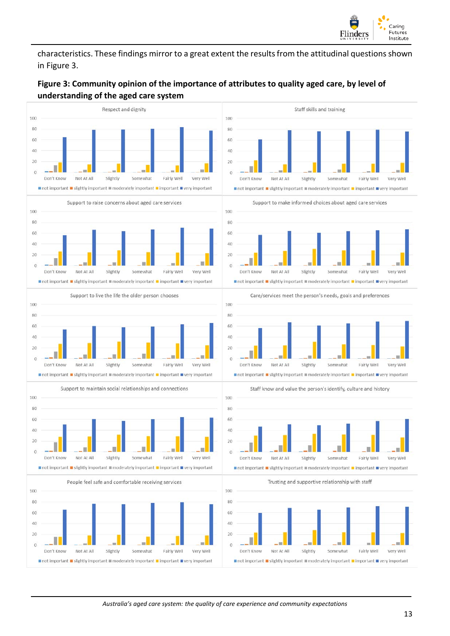

characteristics. These findings mirror to a great extent the results from the attitudinal questions shown in Figure 3.

#### <span id="page-16-0"></span>**Figure 3: Community opinion of the importance of attributes to quality aged care, by level of understanding of the aged care system**

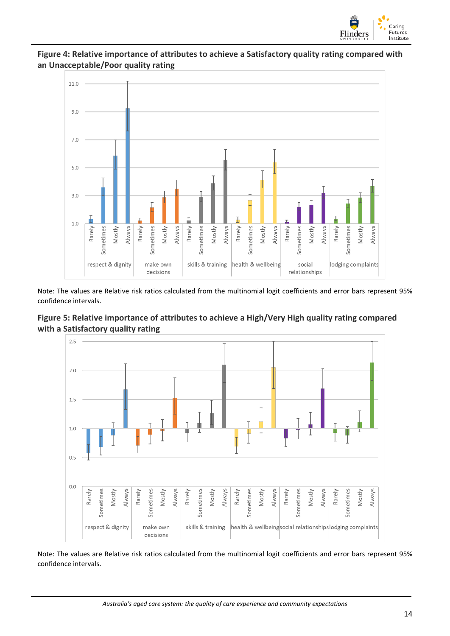

#### **Figure 4: Relative importance of attributes to achieve a Satisfactory quality rating compared with an Unacceptable/Poor quality rating**



Note: The values are Relative risk ratios calculated from the multinomial logit coefficients and error bars represent 95% confidence intervals.





Note: The values are Relative risk ratios calculated from the multinomial logit coefficients and error bars represent 95% confidence intervals.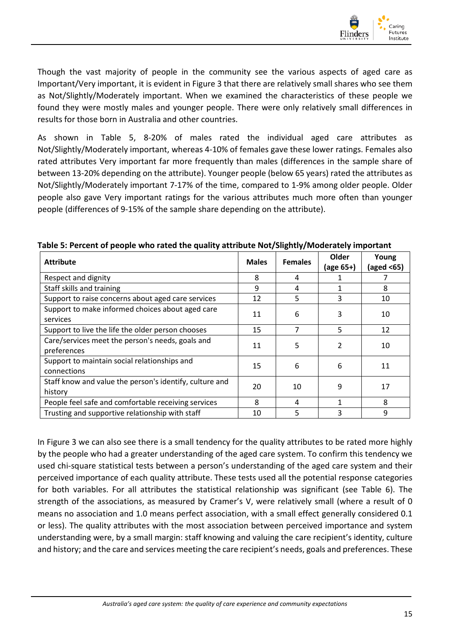

Though the vast majority of people in the community see the various aspects of aged care as Important/Very important, it is evident in Figure 3 that there are relatively small shares who see them as Not/Slightly/Moderately important. When we examined the characteristics of these people we found they were mostly males and younger people. There were only relatively small differences in results for those born in Australia and other countries.

As shown in Table 5, 8-20% of males rated the individual aged care attributes as Not/Slightly/Moderately important, whereas 4-10% of females gave these lower ratings. Females also rated attributes Very important far more frequently than males (differences in the sample share of between 13-20% depending on the attribute). Younger people (below 65 years) rated the attributes as Not/Slightly/Moderately important 7-17% of the time, compared to 1-9% among older people. Older people also gave Very important ratings for the various attributes much more often than younger people (differences of 9-15% of the sample share depending on the attribute).

| <b>Attribute</b>                                                   | <b>Males</b> | <b>Females</b> | Older<br>(age 65+) | Young<br>(aged <65) |
|--------------------------------------------------------------------|--------------|----------------|--------------------|---------------------|
| Respect and dignity                                                | 8            | 4              |                    |                     |
| Staff skills and training                                          | 9            | 4              | 1                  | 8                   |
| Support to raise concerns about aged care services                 | 12           | 5              | 3                  | 10                  |
| Support to make informed choices about aged care<br>services       | 11           | 6              | 3                  | 10                  |
| Support to live the life the older person chooses                  | 15           | 7              | 5                  | 12                  |
| Care/services meet the person's needs, goals and<br>preferences    | 11           | 5              | $\mathfrak{p}$     | 10                  |
| Support to maintain social relationships and<br>connections        | 15           | 6              | 6                  | 11                  |
| Staff know and value the person's identify, culture and<br>history | 20           | 10             | 9                  | 17                  |
| People feel safe and comfortable receiving services                | 8            | 4              | 1                  | 8                   |
| Trusting and supportive relationship with staff                    | 10           | 5              | 3                  | 9                   |

<span id="page-18-0"></span>**Table 5: Percent of people who rated the quality attribute Not/Slightly/Moderately important**

In Figure 3 we can also see there is a small tendency for the quality attributes to be rated more highly by the people who had a greater understanding of the aged care system. To confirm this tendency we used chi-square statistical tests between a person's understanding of the aged care system and their perceived importance of each quality attribute. These tests used all the potential response categories for both variables. For all attributes the statistical relationship was significant (see Table 6). The strength of the associations, as measured by Cramer's V, were relatively small (where a result of 0 means no association and 1.0 means perfect association, with a small effect generally considered 0.1 or less). The quality attributes with the most association between perceived importance and system understanding were, by a small margin: staff knowing and valuing the care recipient's identity, culture and history; and the care and services meeting the care recipient's needs, goals and preferences. These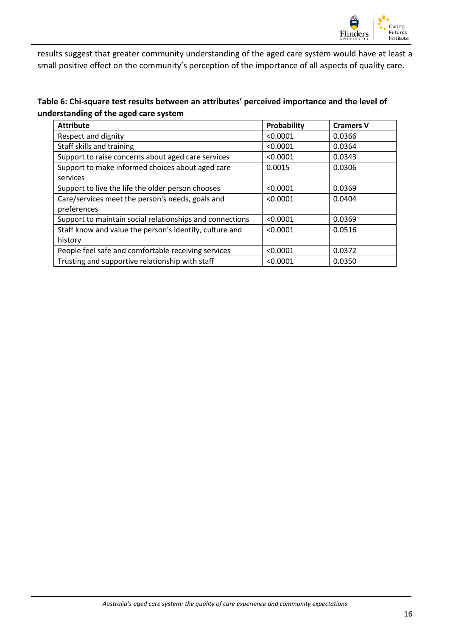

results suggest that greater community understanding of the aged care system would have at least a small positive effect on the community's perception of the importance of all aspects of quality care.

<span id="page-19-0"></span>**Table 6: Chi-square test results between an attributes' perceived importance and the level of understanding of the aged care system**

| <b>Attribute</b>                                         | Probability | <b>Cramers V</b> |
|----------------------------------------------------------|-------------|------------------|
| Respect and dignity                                      | < 0.0001    | 0.0366           |
| Staff skills and training                                | < 0.0001    | 0.0364           |
| Support to raise concerns about aged care services       | < 0.0001    | 0.0343           |
| Support to make informed choices about aged care         | 0.0015      | 0.0306           |
| services                                                 |             |                  |
| Support to live the life the older person chooses        | < 0.0001    | 0.0369           |
| Care/services meet the person's needs, goals and         | < 0.0001    | 0.0404           |
| preferences                                              |             |                  |
| Support to maintain social relationships and connections | < 0.0001    | 0.0369           |
| Staff know and value the person's identify, culture and  | < 0.0001    | 0.0516           |
| history                                                  |             |                  |
| People feel safe and comfortable receiving services      | < 0.0001    | 0.0372           |
| Trusting and supportive relationship with staff          | < 0.0001    | 0.0350           |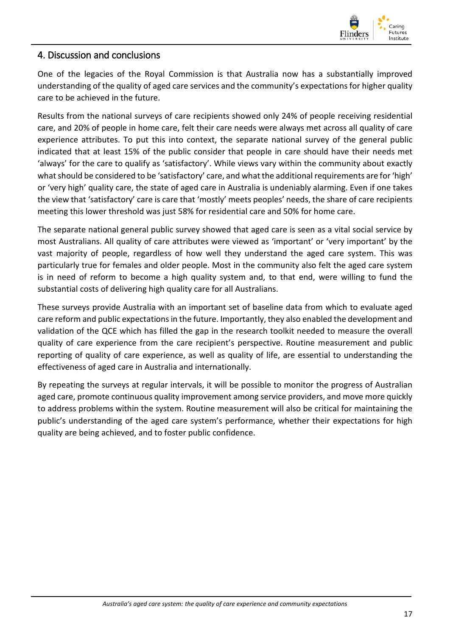

#### <span id="page-20-0"></span>4. Discussion and conclusions

One of the legacies of the Royal Commission is that Australia now has a substantially improved understanding of the quality of aged care services and the community's expectations for higher quality care to be achieved in the future.

Results from the national surveys of care recipients showed only 24% of people receiving residential care, and 20% of people in home care, felt their care needs were always met across all quality of care experience attributes. To put this into context, the separate national survey of the general public indicated that at least 15% of the public consider that people in care should have their needs met 'always' for the care to qualify as 'satisfactory'. While views vary within the community about exactly what should be considered to be 'satisfactory' care, and what the additional requirements are for 'high' or 'very high' quality care, the state of aged care in Australia is undeniably alarming. Even if one takes the view that 'satisfactory' care is care that 'mostly' meets peoples' needs, the share of care recipients meeting this lower threshold was just 58% for residential care and 50% for home care.

The separate national general public survey showed that aged care is seen as a vital social service by most Australians. All quality of care attributes were viewed as 'important' or 'very important' by the vast majority of people, regardless of how well they understand the aged care system. This was particularly true for females and older people. Most in the community also felt the aged care system is in need of reform to become a high quality system and, to that end, were willing to fund the substantial costs of delivering high quality care for all Australians.

These surveys provide Australia with an important set of baseline data from which to evaluate aged care reform and public expectations in the future. Importantly, they also enabled the development and validation of the QCE which has filled the gap in the research toolkit needed to measure the overall quality of care experience from the care recipient's perspective. Routine measurement and public reporting of quality of care experience, as well as quality of life, are essential to understanding the effectiveness of aged care in Australia and internationally.

By repeating the surveys at regular intervals, it will be possible to monitor the progress of Australian aged care, promote continuous quality improvement among service providers, and move more quickly to address problems within the system. Routine measurement will also be critical for maintaining the public's understanding of the aged care system's performance, whether their expectations for high quality are being achieved, and to foster public confidence.